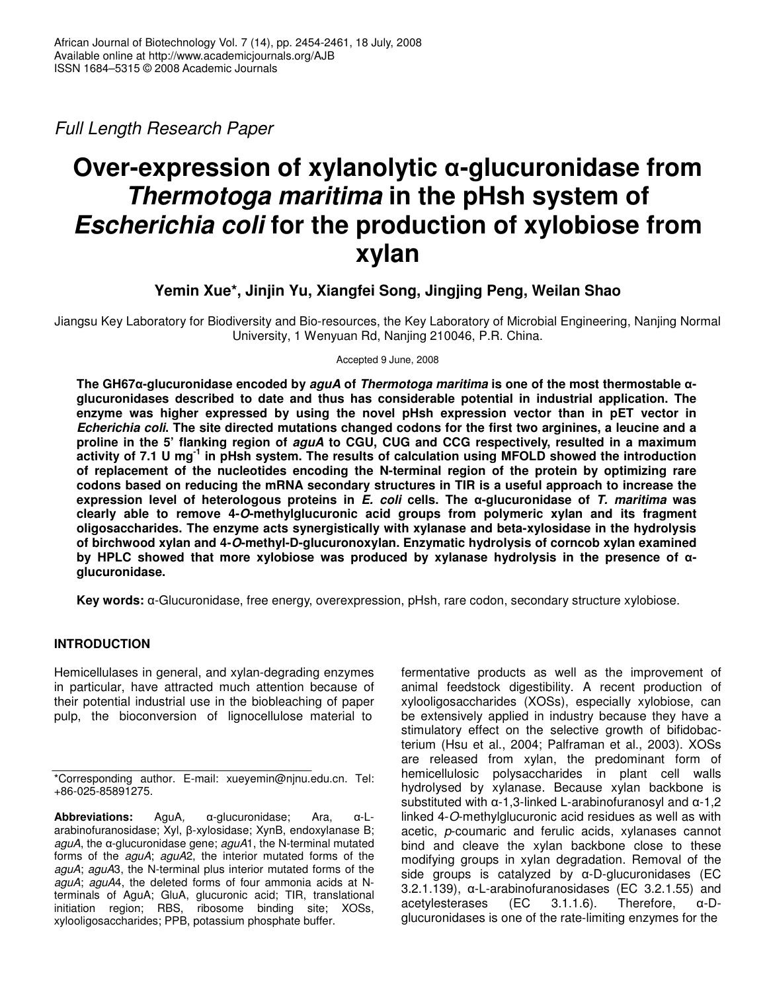*Full Length Research Paper*

# **Over-expression of xylanolytic -glucuronidase from** *Thermotoga maritima* **in the pHsh system of** *Escherichia coli* **for the production of xylobiose from xylan**

## **Yemin Xue\*, Jinjin Yu, Xiangfei Song, Jingjing Peng, Weilan Shao**

Jiangsu Key Laboratory for Biodiversity and Bio-resources, the Key Laboratory of Microbial Engineering, Nanjing Normal University, 1 Wenyuan Rd, Nanjing 210046, P.R. China.

Accepted 9 June, 2008

**The GH67-glucuronidase encoded by** *aguA* **of** *Thermotoga maritima* **is one of the most thermostable glucuronidases described to date and thus has considerable potential in industrial application. The enzyme was higher expressed by using the novel pHsh expression vector than in pET vector in** Echerichia coli. The site directed mutations changed codons for the first two arginines, a leucine and a **proline in the 5' flanking region of** *aguA* **to CGU, CUG and CCG respectively, resulted in a maximum** activity of 7.1 U mg<sup>-1</sup> in pHsh system. The results of calculation using MFOLD showed the introduction **of replacement of the nucleotides encoding the N-terminal region of the protein by optimizing rare codons based on reducing the mRNA secondary structures in TIR is a useful approach to increase the expression level of heterologous proteins in** *E. coli* **cells. The -glucuronidase of** *T. maritima* **was clearly able to remove 4-***O***-methylglucuronic acid groups from polymeric xylan and its fragment oligosaccharides. The enzyme acts synergistically with xylanase and beta-xylosidase in the hydrolysis of birchwood xylan and 4-***O***-methyl-D-glucuronoxylan. Enzymatic hydrolysis of corncob xylan examined by HPLC showed that more xylobiose was produced by xylanase hydrolysis in the presence of glucuronidase.**

Key words:  $\alpha$ -Glucuronidase, free energy, overexpression, pHsh, rare codon, secondary structure xylobiose.

## **INTRODUCTION**

Hemicellulases in general, and xylan-degrading enzymes in particular, have attracted much attention because of their potential industrial use in the biobleaching of paper pulp, the bioconversion of lignocellulose material to

 $\Delta$ bbreviations: AguA,  $\alpha$ -glucuronidase; Ara,  $\alpha$ -Larabinofuranosidase; Xyl, β-xylosidase; XynB, endoxylanase B; *aguA*, the α-glucuronidase gene; *aguA*1, the N-terminal mutated forms of the *aguA*; *aguA*2, the interior mutated forms of the *aguA*; *aguA*3, the N-terminal plus interior mutated forms of the *aguA*; *aguA*4, the deleted forms of four ammonia acids at Nterminals of AguA; GluA, glucuronic acid; TIR, translational initiation region; RBS, ribosome binding site; XOSs, xylooligosaccharides; PPB, potassium phosphate buffer.

fermentative products as well as the improvement of animal feedstock digestibility. A recent production of xylooligosaccharides (XOSs), especially xylobiose, can be extensively applied in industry because they have a stimulatory effect on the selective growth of bifidobacterium (Hsu et al., 2004; Palframan et al., 2003). XOSs are released from xylan, the predominant form of hemicellulosic polysaccharides in plant cell walls hydrolysed by xylanase. Because xylan backbone is substituted with  $\alpha$ -1,3-linked L-arabinofuranosyl and  $\alpha$ -1,2 linked 4-*O*-methylglucuronic acid residues as well as with acetic, *p*-coumaric and ferulic acids, xylanases cannot bind and cleave the xylan backbone close to these modifying groups in xylan degradation. Removal of the side groups is catalyzed by  $\alpha$ -D-glucuronidases (EC  $3.2.1.139$ ,  $\alpha$ -L-arabinofuranosidases (EC 3.2.1.55) and acetylesterases  $(EC \t 3.1.1.6)$ . Therefore,  $\alpha$ -Dglucuronidases is one of the rate-limiting enzymes for the

<sup>\*</sup>Corresponding author. E-mail: xueyemin@njnu.edu.cn. Tel: +86-025-85891275.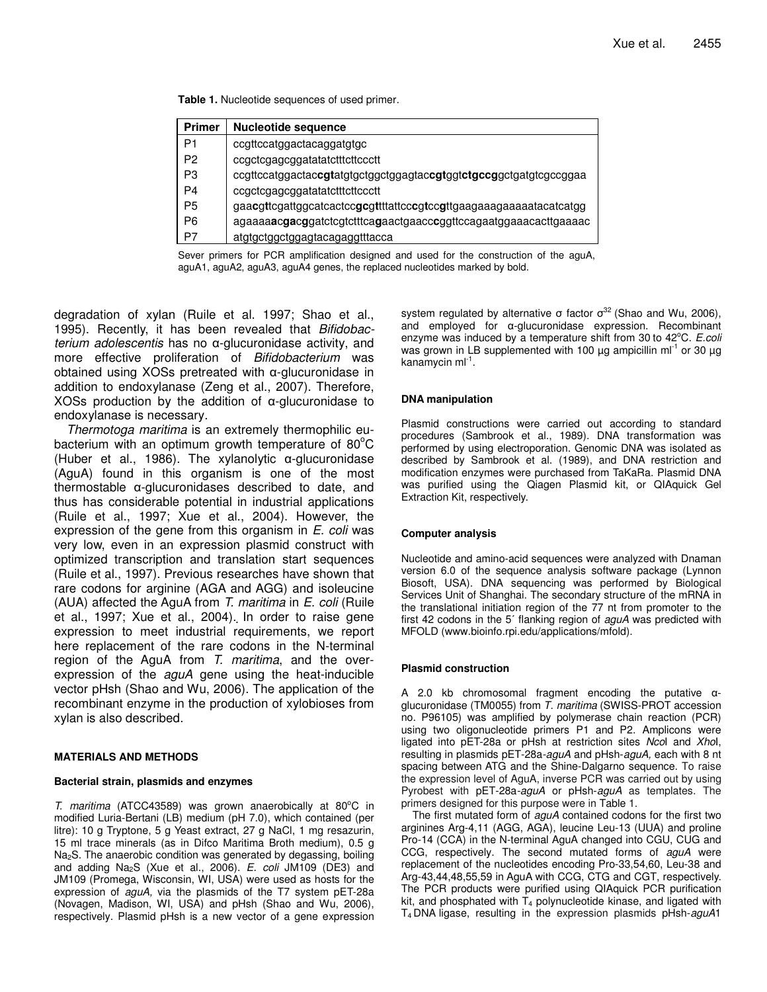**Table 1.** Nucleotide sequences of used primer.

| Primer         | Nucleotide sequence                                                                          |
|----------------|----------------------------------------------------------------------------------------------|
| P1             | ccgttccatggactacaggatgtgc                                                                    |
| P <sub>2</sub> | ccgctcgagcggatatatctttcttccctt                                                               |
| P3             | ccgttccatggactac <b>cgt</b> atgtgctggctggagtac <b>cgt</b> ggt <b>ctgccg</b> gctgatgtcgccggaa |
| P4             | ccgctcgagcggatatatctttcttccctt                                                               |
| P <sub>5</sub> |                                                                                              |
| P6             | agaaaaacgacggatctcgtctttcagaactgaacccggttccagaatggaaacacttgaaaac                             |
| P7             | atgtgctggctggagtacagaggtttacca                                                               |

Sever primers for PCR amplification designed and used for the construction of the aguA, aguA1, aguA2, aguA3, aguA4 genes, the replaced nucleotides marked by bold.

degradation of xylan (Ruile et al. 1997; Shao et al., 1995). Recently, it has been revealed that *Bifidobacterium adolescentis* has no  $\alpha$ -glucuronidase activity, and more effective proliferation of *Bifidobacterium* was obtained using XOSs pretreated with  $\alpha$ -glucuronidase in addition to endoxylanase (Zeng et al., 2007). Therefore,  $XOSs$  production by the addition of  $\alpha$ -glucuronidase to endoxylanase is necessary.

*Thermotoga maritima* is an extremely thermophilic eubacterium with an optimum growth temperature of 80 $^{\circ}$ C (Huber et al., 1986). The xylanolytic  $\alpha$ -glucuronidase (AguA) found in this organism is one of the most thermostable  $\alpha$ -glucuronidases described to date, and thus has considerable potential in industrial applications (Ruile et al., 1997; Xue et al., 2004). However, the expression of the gene from this organism in *E. coli* was very low, even in an expression plasmid construct with optimized transcription and translation start sequences (Ruile et al., 1997). Previous researches have shown that rare codons for arginine (AGA and AGG) and isoleucine (AUA) affected the AguA from *T. maritima* in *E. coli* (Ruile et al., 1997; Xue et al., 2004). In order to raise gene expression to meet industrial requirements, we report here replacement of the rare codons in the N-terminal region of the AguA from *T. maritima*, and the overexpression of the *aguA* gene using the heat-inducible vector pHsh (Shao and Wu, 2006). The application of the recombinant enzyme in the production of xylobioses from xylan is also described.

#### **MATERIALS AND METHODS**

#### **Bacterial strain, plasmids and enzymes**

*T. maritima* (ATCC43589) was grown anaerobically at 80°C in modified Luria-Bertani (LB) medium (pH 7.0), which contained (per litre): 10 g Tryptone, 5 g Yeast extract, 27 g NaCl, 1 mg resazurin, 15 ml trace minerals (as in Difco Maritima Broth medium), 0.5 g Na2S. The anaerobic condition was generated by degassing, boiling and adding Na2S (Xue et al., 2006). *E. coli* JM109 (DE3) and JM109 (Promega, Wisconsin, WI, USA) were used as hosts for the expression of *aguA,* via the plasmids of the T7 system pET-28a (Novagen, Madison, WI, USA) and pHsh (Shao and Wu, 2006), respectively. Plasmid pHsh is a new vector of a gene expression

system regulated by alternative  $\sigma$  factor  $\sigma^{32}$  (Shao and Wu, 2006), and employed for  $\alpha$ -glucuronidase expression. Recombinant enzyme was induced by a temperature shift from 30 to 42°C. E.coli was grown in LB supplemented with 100  $\mu$ g ampicillin ml<sup>-1</sup> or 30  $\mu$ g kanamycin ml<sup>-1</sup>.

## **DNA manipulation**

Plasmid constructions were carried out according to standard procedures (Sambrook et al., 1989). DNA transformation was performed by using electroporation. Genomic DNA was isolated as described by Sambrook et al. (1989), and DNA restriction and modification enzymes were purchased from TaKaRa. Plasmid DNA was purified using the Qiagen Plasmid kit, or QIAquick Gel Extraction Kit, respectively.

#### **Computer analysis**

Nucleotide and amino-acid sequences were analyzed with Dnaman version 6.0 of the sequence analysis software package (Lynnon Biosoft, USA). DNA sequencing was performed by Biological Services Unit of Shanghai. The secondary structure of the mRNA in the translational initiation region of the 77 nt from promoter to the first 42 codons in the 5<sup>7</sup> flanking region of *aguA* was predicted with MFOLD (www.bioinfo.rpi.edu/applications/mfold).

#### **Plasmid construction**

A 2.0 kb chromosomal fragment encoding the putative  $\alpha$ glucuronidase (TM0055) from *T. maritima* (SWISS-PROT accession no. P96105) was amplified by polymerase chain reaction (PCR) using two oligonucleotide primers P1 and P2. Amplicons were ligated into pET-28a or pHsh at restriction sites *Nco*I and *Xho*I, resulting in plasmids pET-28a*-aguA* and pHsh-*aguA,* each with 8 nt spacing between ATG and the Shine-Dalgarno sequence. To raise the expression level of AguA, inverse PCR was carried out by using Pyrobest with pET-28a*-aguA* or pHsh-*aguA* as templates. The primers designed for this purpose were in Table 1.

The first mutated form of *aguA* contained codons for the first two arginines Arg-4,11 (AGG, AGA), leucine Leu-13 (UUA) and proline Pro-14 (CCA) in the N-terminal AguA changed into CGU, CUG and CCG, respectively. The second mutated forms of *aguA* were replacement of the nucleotides encoding Pro-33,54,60, Leu-38 and Arg-43,44,48,55,59 in AguA with CCG, CTG and CGT, respectively. The PCR products were purified using QIAquick PCR purification kit, and phosphated with  $T_4$  polynucleotide kinase, and ligated with T<sup>4</sup> DNA ligase, resulting in the expression plasmids pHsh-*aguA*1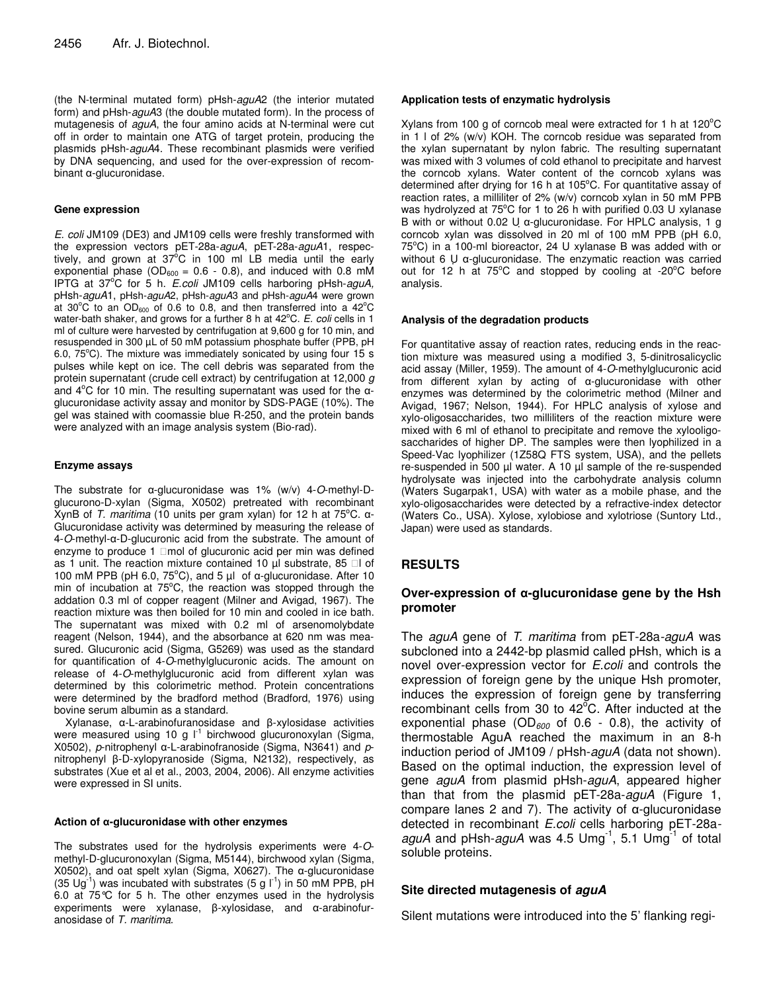(the N-terminal mutated form) pHsh-*aguA*2 (the interior mutated form) and pHsh-*aguA*3 (the double mutated form). In the process of mutagenesis of *aguA*, the four amino acids at N-terminal were cut off in order to maintain one ATG of target protein, producing the plasmids pHsh-*aguA*4. These recombinant plasmids were verified by DNA sequencing, and used for the over-expression of recom $binant \alpha$ -glucuronidase.

#### **Gene expression**

*E. coli* JM109 (DE3) and JM109 cells were freshly transformed with the expression vectors pET-28a-*aguA*, pET-28a-*aguA*1, respectively, and grown at  $37^{\circ}$ C in 100 ml LB media until the early exponential phase ( $OD<sub>600</sub> = 0.6 - 0.8$ ), and induced with 0.8 mM IPTG at 37°C for 5 h. *E.coli* JM109 cells harboring pHsh-aguA, pHsh-*aguA*1, pHsh-*aguA*2, pHsh-*aguA*3 and pHsh-*aguA*4 were grown at 30°C to an OD<sub>600</sub> of 0.6 to 0.8, and then transferred into a 42°C water-bath shaker, and grows for a further 8 h at 42°C. E. coli cells in 1 ml of culture were harvested by centrifugation at 9,600 g for 10 min, and resuspended in 300 µL of 50 mM potassium phosphate buffer (PPB, pH 6.0, 75°C). The mixture was immediately sonicated by using four 15 s pulses while kept on ice. The cell debris was separated from the protein supernatant (crude cell extract) by centrifugation at 12,000 *g* and  $4^{\circ}$ C for 10 min. The resulting supernatant was used for the  $\alpha$ glucuronidase activity assay and monitor by SDS-PAGE (10%). The gel was stained with coomassie blue R-250, and the protein bands were analyzed with an image analysis system (Bio-rad).

#### **Enzyme assays**

The substrate for  $\alpha$ -glucuronidase was 1% (w/v) 4-O-methyl-Dglucurono-D-xylan (Sigma, X0502) pretreated with recombinant XynB of *T. maritima* (10 units per gram xylan) for 12 h at 75°C. α-Glucuronidase activity was determined by measuring the release of 4-*O*-methyl-α-D-glucuronic acid from the substrate. The amount of enzyme to produce 1 mol of glucuronic acid per min was defined as 1 unit. The reaction mixture contained 10 µl substrate, 85 l of 100 mM PPB (pH 6.0,  $75^{\circ}$ C), and 5 µl of  $\alpha$ -glucuronidase. After 10 min of incubation at 75°C, the reaction was stopped through the addation 0.3 ml of copper reagent (Milner and Avigad, 1967). The reaction mixture was then boiled for 10 min and cooled in ice bath. The supernatant was mixed with 0.2 ml of arsenomolybdate reagent (Nelson, 1944), and the absorbance at 620 nm was measured. Glucuronic acid (Sigma, G5269) was used as the standard for quantification of 4-*O*-methylglucuronic acids. The amount on release of 4-*O*-methylglucuronic acid from different xylan was determined by this colorimetric method. Protein concentrations were determined by the bradford method (Bradford, 1976) using bovine serum albumin as a standard.

Xylanase, α-L-arabinofuranosidase and β-xylosidase activities were measured using 10 g l<sup>-1</sup> birchwood glucuronoxylan (Sigma, X0502), *p*-nitrophenyl α-L-arabinofranoside (Sigma, N3641) and *p*nitrophenyl β-D-xylopyranoside (Sigma, N2132), respectively, as substrates (Xue et al et al., 2003, 2004, 2006). All enzyme activities were expressed in SI units.

#### **Action of -glucuronidase with other enzymes**

The substrates used for the hydrolysis experiments were 4-*O*methyl-D-glucuronoxylan (Sigma, M5144), birchwood xylan (Sigma,  $X0502$ ), and oat spelt xylan (Sigma, X0627). The  $\alpha$ -glucuronidase (35 Ug<sup>-1</sup>) was incubated with substrates (5 g  $I^{-1}$ ) in 50 mM PPB, pH 6.0 at 75°C for 5 h. The other enzymes used in the hydrolysis experiments were xylanase, β-xylosidase, and α-arabinofuranosidase of *T. maritima*.

#### **Application tests of enzymatic hydrolysis**

Xylans from 100 g of corncob meal were extracted for 1 h at 120°C in 1 l of 2% (w/v) KOH. The corncob residue was separated from the xylan supernatant by nylon fabric. The resulting supernatant was mixed with 3 volumes of cold ethanol to precipitate and harvest the corncob xylans. Water content of the corncob xylans was determined after drying for 16 h at 105°C. For quantitative assay of reaction rates, a milliliter of 2% (w/v) corncob xylan in 50 mM PPB was hydrolyzed at 75°C for 1 to 26 h with purified 0.03 U xylanase B with or without 0.02 U  $\alpha$ -glucuronidase. For HPLC analysis, 1 g corncob xylan was dissolved in 20 ml of 100 mM PPB (pH 6.0, 75°C) in a 100-ml bioreactor, 24 U xylanase B was added with or without 6  $\uparrow$   $\sigma$ -glucuronidase. The enzymatic reaction was carried out for 12 h at 75°C and stopped by cooling at -20°C before analysis.

#### **Analysis of the degradation products**

For quantitative assay of reaction rates, reducing ends in the reaction mixture was measured using a modified 3, 5-dinitrosalicyclic acid assay (Miller, 1959). The amount of 4-*O*-methylglucuronic acid from different xylan by acting of  $\alpha$ -glucuronidase with other enzymes was determined by the colorimetric method (Milner and Avigad, 1967; Nelson, 1944). For HPLC analysis of xylose and xylo-oligosaccharides, two milliliters of the reaction mixture were mixed with 6 ml of ethanol to precipitate and remove the xylooligosaccharides of higher DP. The samples were then lyophilized in a Speed-Vac lyophilizer (1Z58Q FTS system, USA), and the pellets re-suspended in 500 µl water. A 10 µl sample of the re-suspended hydrolysate was injected into the carbohydrate analysis column (Waters Sugarpak1, USA) with water as a mobile phase, and the xylo-oligosaccharides were detected by a refractive-index detector (Waters Co., USA). Xylose, xylobiose and xylotriose (Suntory Ltd., Japan) were used as standards.

## **RESULTS**

## **Over-expression of -glucuronidase gene by the Hsh promoter**

The *aguA* gene of *T. maritima* from pET-28a*-aguA* was subcloned into a 2442-bp plasmid called pHsh, which is a novel over-expression vector for *E.coli* and controls the expression of foreign gene by the unique Hsh promoter, induces the expression of foreign gene by transferring recombinant cells from 30 to 42°C. After inducted at the exponential phase (OD*<sup>600</sup>* of 0.6 - 0.8), the activity of thermostable AguA reached the maximum in an 8-h induction period of JM109 / pHsh-*aguA* (data not shown). Based on the optimal induction, the expression level of gene *aguA* from plasmid pHsh-*aguA*, appeared higher than that from the plasmid pET-28a-*aguA* (Figure 1, compare lanes 2 and 7). The activity of  $\alpha$ -glucuronidase detected in recombinant *E.coli* cells harboring pET-28aaguA and pHsh-aguA was 4.5 Umg<sup>-1</sup>, 5.1 Umg<sup>-1</sup> of total soluble proteins.

## **Site directed mutagenesis of** *aguA*

Silent mutations were introduced into the 5' flanking regi-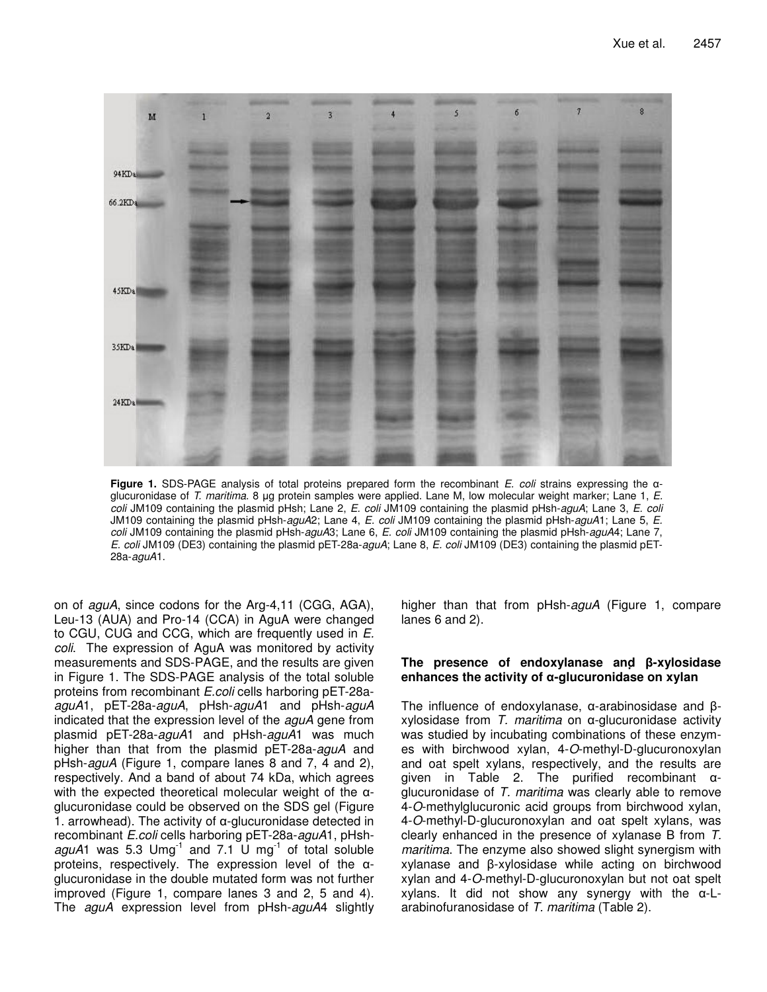

**Figure 1.** SDS-PAGE analysis of total proteins prepared form the recombinant *E. coli* strains expressing the glucuronidase of *T. maritima*. 8 µg protein samples were applied. Lane M, low molecular weight marker; Lane 1, *E. coli* JM109 containing the plasmid pHsh; Lane 2, *E. coli* JM109 containing the plasmid pHsh-*aguA*; Lane 3, *E. coli* JM109 containing the plasmid pHsh-*aguA*2; Lane 4, *E. coli* JM109 containing the plasmid pHsh-*aguA*1; Lane 5, *E. coli* JM109 containing the plasmid pHsh-*aguA*3; Lane 6, *E. coli* JM109 containing the plasmid pHsh-*aguA*4; Lane 7, *E. coli* JM109 (DE3) containing the plasmid pET-28a-*aguA*; Lane 8, *E. coli* JM109 (DE3) containing the plasmid pET-28a-*aguA*1.

on of *aguA*, since codons for the Arg-4,11 (CGG, AGA), Leu-13 (AUA) and Pro-14 (CCA) in AguA were changed to CGU, CUG and CCG, which are frequently used in *E. coli*. The expression of AguA was monitored by activity measurements and SDS-PAGE, and the results are given in Figure 1. The SDS-PAGE analysis of the total soluble proteins from recombinant *E.coli* cells harboring pET-28a*aguA*1, pET-28a-*aguA*, pHsh-*aguA*1 and pHsh-*aguA* indicated that the expression level of the *aguA* gene from plasmid pET-28a-*aguA*1 and pHsh-*aguA*1 was much higher than that from the plasmid pET-28a-*aguA* and pHsh-*aguA* (Figure 1, compare lanes 8 and 7, 4 and 2), respectively. And a band of about 74 kDa, which agrees with the expected theoretical molecular weight of the  $\alpha$ glucuronidase could be observed on the SDS gel (Figure 1. arrowhead). The activity of  $\alpha$ -glucuronidase detected in recombinant *E.coli* cells harboring pET-28a-*aguA*1, pHsh $aguA1$  was 5.3 Umg<sup>-1</sup> and 7.1 U mg<sup>-1</sup> of total soluble proteins, respectively. The expression level of the  $\alpha$ glucuronidase in the double mutated form was not further improved (Figure 1, compare lanes 3 and 2, 5 and 4). The *aguA* expression level from pHsh-*aguA*4 slightly

higher than that from pHsh-*aguA* (Figure 1, compare lanes 6 and 2).

## **The presence of endoxylanase and**- **-xylosidase enhances the activity of -glucuronidase on xylan**

The influence of endoxylanase,  $\alpha$ -arabinosidase and  $\beta$  $xy$ losidase from  $T$ . *maritima* on  $\alpha$ -glucuronidase activity was studied by incubating combinations of these enzymes with birchwood xylan, 4-*O*-methyl-D-glucuronoxylan and oat spelt xylans, respectively, and the results are given in Table 2. The purified recombinant  $\alpha$ glucuronidase of *T. maritima* was clearly able to remove 4-*O*-methylglucuronic acid groups from birchwood xylan, 4-*O*-methyl-D-glucuronoxylan and oat spelt xylans, was clearly enhanced in the presence of xylanase B from *T. maritima*. The enzyme also showed slight synergism with xylanase and β-xylosidase while acting on birchwood xylan and 4-*O*-methyl-D-glucuronoxylan but not oat spelt  $x$ ylans. It did not show any synergy with the  $\alpha$ -Larabinofuranosidase of *T. maritima* (Table 2).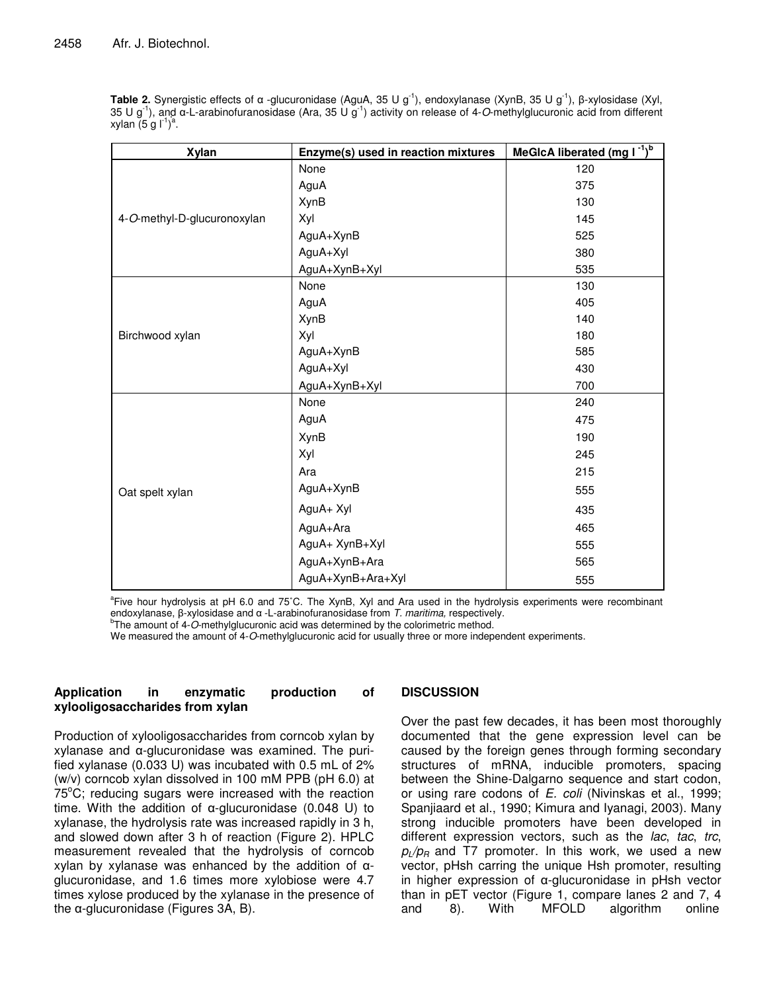Table 2. Synergistic effects of α -glucuronidase (AguA, 35 U g<sup>-1</sup>), endoxylanase (XynB, 35 U g<sup>-1</sup>), β-xylosidase (Xyl, 35 U g<sup>-1</sup>), and  $\alpha$ -L-arabinofuranosidase (Ara, 35 U g<sup>-1</sup>) activity on release of 4-*O*-methylglucuronic acid from different xylan (5 g l<sup>-1</sup>)<sup>a</sup>.

| <b>Xylan</b>                | Enzyme(s) used in reaction mixtures | <b>MeGIcA liberated (mg <math>1^{-1}</math>)</b> |
|-----------------------------|-------------------------------------|--------------------------------------------------|
|                             | None                                | 120                                              |
|                             | AguA                                | 375                                              |
|                             | <b>XynB</b>                         | 130                                              |
| 4-O-methyl-D-glucuronoxylan | Xyl                                 | 145                                              |
|                             | AguA+XynB                           | 525                                              |
|                             | AguA+Xyl                            | 380                                              |
|                             | AguA+XynB+Xyl                       | 535                                              |
|                             | None                                | 130                                              |
|                             | AguA                                | 405                                              |
|                             | <b>XynB</b>                         | 140                                              |
| Birchwood xylan             | Xyl                                 | 180                                              |
|                             | AguA+XynB                           | 585                                              |
|                             | AguA+Xyl                            | 430                                              |
|                             | AguA+XynB+Xyl                       | 700                                              |
|                             | None                                | 240                                              |
|                             | AguA                                | 475                                              |
|                             | <b>XynB</b>                         | 190                                              |
|                             | Xyl                                 | 245                                              |
|                             | Ara                                 | 215                                              |
| Oat spelt xylan             | AguA+XynB                           | 555                                              |
|                             | AguA+ Xyl                           | 435                                              |
|                             | AguA+Ara                            | 465                                              |
|                             | AguA+ XynB+Xyl                      | 555                                              |
|                             | AguA+XynB+Ara                       | 565                                              |
|                             | AguA+XynB+Ara+Xyl                   | 555                                              |

a Five hour hydrolysis at pH 6.0 and 75˚C. The XynB, Xyl and Ara used in the hydrolysis experiments were recombinant endoxylanase, β-xylosidase and α -L-arabinofuranosidase from *T. maritima,* respectively.

<sup>b</sup>The amount of 4-O-methylglucuronic acid was determined by the colorimetric method.

We measured the amount of 4-*O*-methylglucuronic acid for usually three or more independent experiments.

## **Application in enzymatic production of xylooligosaccharides from xylan**

Production of xylooligosaccharides from corncob xylan by  $x$ ylanase and  $\alpha$ -glucuronidase was examined. The purified xylanase (0.033 U) was incubated with 0.5 mL of 2% (w/v) corncob xylan dissolved in 100 mM PPB (pH 6.0) at  $75^{\circ}$ C; reducing sugars were increased with the reaction time. With the addition of  $\alpha$ -glucuronidase (0.048 U) to xylanase, the hydrolysis rate was increased rapidly in 3 h, and slowed down after 3 h of reaction (Figure 2). HPLC measurement revealed that the hydrolysis of corncob xylan by xylanase was enhanced by the addition of  $\alpha$ glucuronidase, and 1.6 times more xylobiose were 4.7 times xylose produced by the xylanase in the presence of the  $\alpha$ -glucuronidase (Figures 3A, B).

## **DISCUSSION**

Over the past few decades, it has been most thoroughly documented that the gene expression level can be caused by the foreign genes through forming secondary structures of mRNA, inducible promoters, spacing between the Shine-Dalgarno sequence and start codon, or using rare codons of *E. coli* (Nivinskas et al., 1999; Spanjiaard et al., 1990; Kimura and Iyanagi, 2003). Many strong inducible promoters have been developed in different expression vectors, such as the *lac*, *tac*, *trc*,  $p_l/p_R$  and T7 promoter. In this work, we used a new vector, pHsh carring the unique Hsh promoter, resulting in higher expression of  $\alpha$ -glucuronidase in pHsh vector than in pET vector (Figure 1, compare lanes 2 and 7, 4 and 8). With MFOLD algorithm online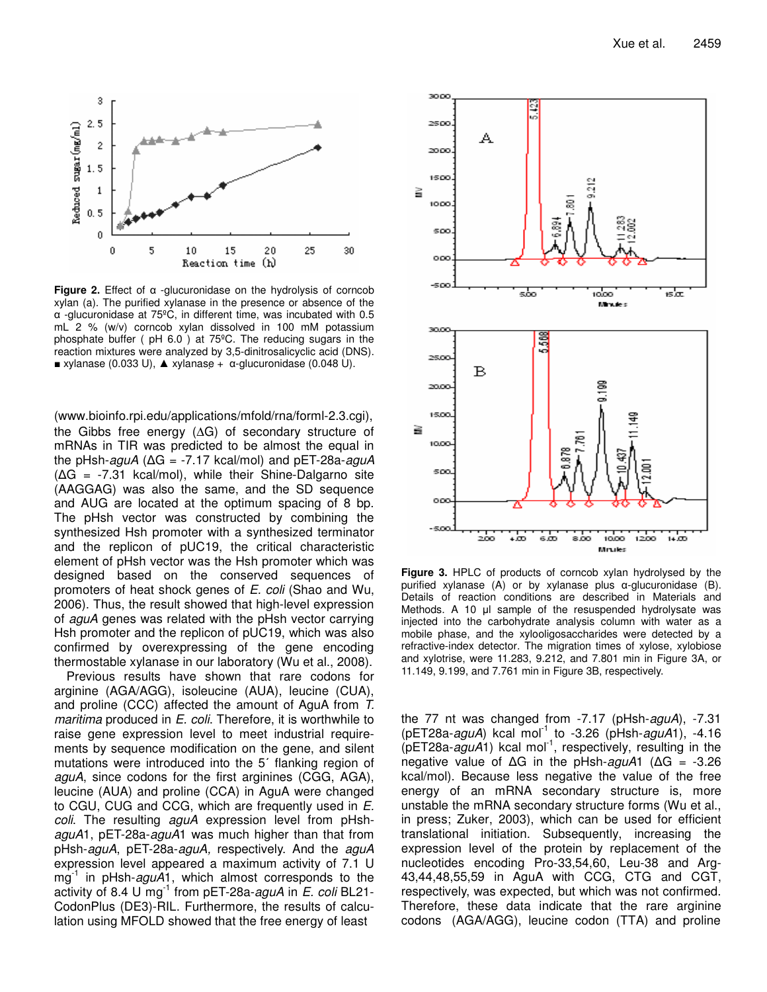

Figure 2. Effect of  $\alpha$  -glucuronidase on the hydrolysis of corncob xylan (a). The purified xylanase in the presence or absence of the  $\alpha$  -glucuronidase at 75°C, in different time, was incubated with 0.5 mL 2 % (w/v) corncob xylan dissolved in 100 mM potassium phosphate buffer ( pH 6.0 ) at 75ºC. The reducing sugars in the reaction mixtures were analyzed by 3,5-dinitrosalicyclic acid (DNS).  $\bullet$  xylanase (0.033 U),  $\bullet$  xylanase +  $\alpha$ -glucuronidase (0.048 U).

(www.bioinfo.rpi.edu/applications/mfold/rna/forml-2.3.cgi), the Gibbs free energy (∆G) of secondary structure of mRNAs in TIR was predicted to be almost the equal in the pHsh-*aguA* ( G = -7.17 kcal/mol) and pET-28a-*aguA*  $(\Delta G = -7.31$  kcal/mol), while their Shine-Dalgarno site (AAGGAG) was also the same, and the SD sequence and AUG are located at the optimum spacing of 8 bp. The pHsh vector was constructed by combining the synthesized Hsh promoter with a synthesized terminator and the replicon of pUC19, the critical characteristic element of pHsh vector was the Hsh promoter which was designed based on the conserved sequences of promoters of heat shock genes of *E. coli* (Shao and Wu, 2006). Thus, the result showed that high-level expression of *aguA* genes was related with the pHsh vector carrying Hsh promoter and the replicon of pUC19, which was also confirmed by overexpressing of the gene encoding thermostable xylanase in our laboratory (Wu et al., 2008).

Previous results have shown that rare codons for arginine (AGA/AGG), isoleucine (AUA), leucine (CUA), and proline (CCC) affected the amount of AguA from *T. maritima* produced in *E. coli*. Therefore, it is worthwhile to raise gene expression level to meet industrial requirements by sequence modification on the gene, and silent mutations were introduced into the 5' flanking region of *aguA*, since codons for the first arginines (CGG, AGA), leucine (AUA) and proline (CCA) in AguA were changed to CGU, CUG and CCG, which are frequently used in *E. coli*. The resulting *aguA* expression level from pHsh*aguA*1, pET-28a-*aguA*1 was much higher than that from pHsh-*aguA*, pET-28a-*aguA,* respectively. And the *aguA* expression level appeared a maximum activity of 7.1 U mg -1 in pHsh-*aguA*1, which almost corresponds to the activity of 8.4 U mg -1 from pET-28a-*aguA* in *E. coli* BL21- CodonPlus (DE3)-RIL. Furthermore, the results of calculation using MFOLD showed that the free energy of least



**Figure 3.** HPLC of products of corncob xylan hydrolysed by the purified xylanase (A) or by xylanase plus  $\alpha$ -glucuronidase (B). Details of reaction conditions are described in Materials and Methods. A 10  $\mu$  sample of the resuspended hydrolysate was injected into the carbohydrate analysis column with water as a mobile phase, and the xylooligosaccharides were detected by a refractive-index detector. The migration times of xylose, xylobiose and xylotrise, were 11.283, 9.212, and 7.801 min in Figure 3A, or 11.149, 9.199, and 7.761 min in Figure 3B, respectively.

the 77 nt was changed from -7.17 (pHsh-*aguA*), -7.31 (pET28a-*aguA*) kcal mol -1 to -3.26 (pHsh-*aguA*1), -4.16 (pET28a-aguA1) kcal mol<sup>-1</sup>, respectively, resulting in the negative value of ΔG in the pHsh-*aguA*1 (ΔG = -3.26 kcal/mol). Because less negative the value of the free energy of an mRNA secondary structure is, more unstable the mRNA secondary structure forms (Wu et al., in press; Zuker, 2003), which can be used for efficient translational initiation. Subsequently, increasing the expression level of the protein by replacement of the nucleotides encoding Pro-33,54,60, Leu-38 and Arg-43,44,48,55,59 in AguA with CCG, CTG and CGT, respectively, was expected, but which was not confirmed. Therefore, these data indicate that the rare arginine codons (AGA/AGG), leucine codon (TTA) and proline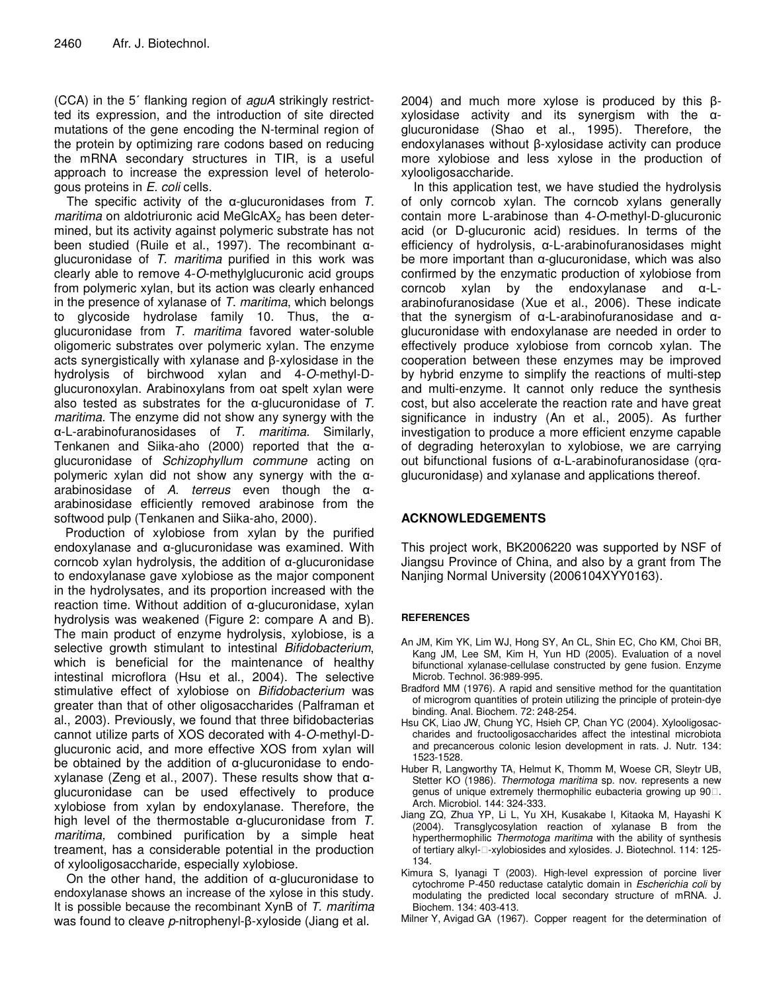(CCA) in the 5<sup>'</sup> flanking region of aguA strikingly restrictted its expression, and the introduction of site directed mutations of the gene encoding the N-terminal region of the protein by optimizing rare codons based on reducing the mRNA secondary structures in TIR, is a useful approach to increase the expression level of heterologous proteins in *E. coli* cells.

The specific activity of the  $\alpha$ -glucuronidases from  $T$ . *maritima* on aldotriuronic acid MeGlcAX<sub>2</sub> has been determined, but its activity against polymeric substrate has not been studied (Ruile et al., 1997). The recombinant  $\alpha$ glucuronidase of *T. maritima* purified in this work was clearly able to remove 4-*O*-methylglucuronic acid groups from polymeric xylan, but its action was clearly enhanced in the presence of xylanase of *T. maritima*, which belongs to glycoside hydrolase family 10. Thus, the  $\alpha$ glucuronidase from *T. maritima* favored water-soluble oligomeric substrates over polymeric xylan. The enzyme acts synergistically with xylanase and β-xylosidase in the hydrolysis of birchwood xylan and 4-*O*-methyl-Dglucuronoxylan. Arabinoxylans from oat spelt xylan were also tested as substrates for the  $\alpha$ -glucuronidase of  $T$ . *maritima*. The enzyme did not show any synergy with the -L-arabinofuranosidases of *T. maritima.* Similarly, Tenkanen and Siika-aho (2000) reported that the  $\alpha$ glucuronidase of *Schizophyllum commune* acting on polymeric xylan did not show any synergy with the  $\alpha$ arabinosidase of  $A$ . *terreus* even though the  $\alpha$ arabinosidase efficiently removed arabinose from the softwood pulp (Tenkanen and Siika-aho, 2000).

Production of xylobiose from xylan by the purified endoxylanase and  $\alpha$ -glucuronidase was examined. With corncob xylan hydrolysis, the addition of  $\alpha$ -glucuronidase to endoxylanase gave xylobiose as the major component in the hydrolysates, and its proportion increased with the reaction time. Without addition of  $\alpha$ -glucuronidase, xylan hydrolysis was weakened (Figure 2: compare A and B). The main product of enzyme hydrolysis, xylobiose, is a selective growth stimulant to intestinal *Bifidobacterium*, which is beneficial for the maintenance of healthy intestinal microflora (Hsu et al., 2004). The selective stimulative effect of xylobiose on *Bifidobacterium* was greater than that of other oligosaccharides (Palframan et al., 2003). Previously, we found that three bifidobacterias cannot utilize parts of XOS decorated with 4-*O*-methyl-Dglucuronic acid, and more effective XOS from xylan will be obtained by the addition of  $\alpha$ -glucuronidase to endoxylanase (Zeng et al., 2007). These results show that  $\alpha$ glucuronidase can be used effectively to produce xylobiose from xylan by endoxylanase. Therefore, the high level of the thermostable  $\alpha$ -glucuronidase from  $T$ . *maritima,* combined purification by a simple heat treament, has a considerable potential in the production of xylooligosaccharide, especially xylobiose.

On the other hand, the addition of  $\alpha$ -glucuronidase to endoxylanase shows an increase of the xylose in this study. It is possible because the recombinant XynB of *T. maritima* was found to cleave *p*-nitrophenyl-β-xyloside (Jiang et al.

2004) and much more xylose is produced by this  $\beta$  $xy$ losidase activity and its synergism with the  $\alpha$ glucuronidase (Shao et al., 1995). Therefore, the endoxylanases without β-xylosidase activity can produce more xylobiose and less xylose in the production of xylooligosaccharide.

In this application test, we have studied the hydrolysis of only corncob xylan. The corncob xylans generally contain more L-arabinose than 4-*O*-methyl-D-glucuronic acid (or D-glucuronic acid) residues. In terms of the efficiency of hydrolysis,  $\alpha$ -L-arabinofuranosidases might be more important than  $\alpha$ -glucuronidase, which was also confirmed by the enzymatic production of xylobiose from corncob xylan by the endoxylanase and  $\alpha$ -Larabinofuranosidase (Xue et al., 2006). These indicate that the synergism of  $\alpha$ -L-arabinofuranosidase and  $\alpha$ glucuronidase with endoxylanase are needed in order to effectively produce xylobiose from corncob xylan. The cooperation between these enzymes may be improved by hybrid enzyme to simplify the reactions of multi-step and multi-enzyme. It cannot only reduce the synthesis cost, but also accelerate the reaction rate and have great significance in industry (An et al., 2005). As further investigation to produce a more efficient enzyme capable of degrading heteroxylan to xylobiose, we are carrying out bifunctional fusions of  $\alpha$ -L-arabinofuranosidase (or $\alpha$ glucuronidase) and xylanase and applications thereof.

## **ACKNOWLEDGEMENTS**

This project work, BK2006220 was supported by NSF of Jiangsu Province of China, and also by a grant from The Nanjing Normal University (2006104XYY0163).

## **REFERENCES**

- An JM, Kim YK, Lim WJ, Hong SY, An CL, Shin EC, Cho KM, Choi BR, Kang JM, Lee SM, Kim H, Yun HD (2005). Evaluation of a novel bifunctional xylanase-cellulase constructed by gene fusion. Enzyme Microb. Technol. 36:989-995.
- Bradford MM (1976). A rapid and sensitive method for the quantitation of microgrom quantities of protein utilizing the principle of protein-dye binding. Anal. Biochem. 72: 248-254.
- Hsu CK, Liao JW, Chung YC, Hsieh CP, Chan YC (2004). Xylooligosaccharides and fructooligosaccharides affect the intestinal microbiota and precancerous colonic lesion development in rats. J. Nutr. 134: 1523-1528.
- Huber R, Langworthy TA, Helmut K, Thomm M, Woese CR, Sleytr UB, Stetter KO (1986). *Thermotoga maritima* sp. nov. represents a new genus of unique extremely thermophilic eubacteria growing up 90. Arch. Microbiol. 144: 324-333.
- Jiang ZQ, Zhua YP, Li L, Yu XH, Kusakabe I, Kitaoka M, Hayashi K (2004). Transglycosylation reaction of xylanase B from the hyperthermophilic *Thermotoga maritima* with the ability of synthesis of tertiary alkyl--xylobiosides and xylosides. J. Biotechnol. 114: 125- 134.
- Kimura S, Iyanagi T (2003). High-level expression of porcine liver cytochrome P-450 reductase catalytic domain in *Escherichia coli* by modulating the predicted local secondary structure of mRNA. J. Biochem. 134: 403-413.

Milner Y, Avigad GA (1967). Copper reagent for the determination of